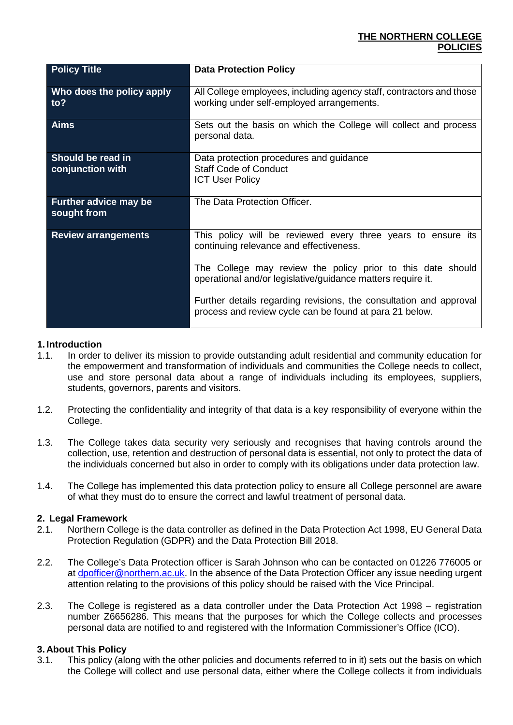## **THE NORTHERN COLLEGE POLICIES**

| <b>Policy Title</b>                         | <b>Data Protection Policy</b>                                                                                                                                                                                                                                                                                                                                          |  |
|---------------------------------------------|------------------------------------------------------------------------------------------------------------------------------------------------------------------------------------------------------------------------------------------------------------------------------------------------------------------------------------------------------------------------|--|
| Who does the policy apply<br>to?            | All College employees, including agency staff, contractors and those<br>working under self-employed arrangements.                                                                                                                                                                                                                                                      |  |
| <b>Aims</b>                                 | Sets out the basis on which the College will collect and process<br>personal data.                                                                                                                                                                                                                                                                                     |  |
| Should be read in<br>conjunction with       | Data protection procedures and guidance<br><b>Staff Code of Conduct</b><br><b>ICT User Policy</b>                                                                                                                                                                                                                                                                      |  |
| <b>Further advice may be</b><br>sought from | The Data Protection Officer.                                                                                                                                                                                                                                                                                                                                           |  |
| <b>Review arrangements</b>                  | This policy will be reviewed every three years to ensure its<br>continuing relevance and effectiveness.<br>The College may review the policy prior to this date should<br>operational and/or legislative/guidance matters require it.<br>Further details regarding revisions, the consultation and approval<br>process and review cycle can be found at para 21 below. |  |

## **1. Introduction**

- 1.1. In order to deliver its mission to provide outstanding adult residential and community education for the empowerment and transformation of individuals and communities the College needs to collect, use and store personal data about a range of individuals including its employees, suppliers, students, governors, parents and visitors.
- 1.2. Protecting the confidentiality and integrity of that data is a key responsibility of everyone within the College.
- 1.3. The College takes data security very seriously and recognises that having controls around the collection, use, retention and destruction of personal data is essential, not only to protect the data of the individuals concerned but also in order to comply with its obligations under data protection law.
- 1.4. The College has implemented this data protection policy to ensure all College personnel are aware of what they must do to ensure the correct and lawful treatment of personal data.

## **2. Legal Framework**

- 2.1. Northern College is the data controller as defined in the Data Protection Act 1998, EU General Data Protection Regulation (GDPR) and the Data Protection Bill 2018.
- 2.2. The College's Data Protection officer is Sarah Johnson who can be contacted on 01226 776005 or at [dpofficer@northern.ac.uk.](mailto:dpofficer@northern.ac.uk) In the absence of the Data Protection Officer any issue needing urgent attention relating to the provisions of this policy should be raised with the Vice Principal.
- 2.3. The College is registered as a data controller under the Data Protection Act 1998 registration number Z6656286. This means that the purposes for which the College collects and processes personal data are notified to and registered with the Information Commissioner's Office (ICO).

## **3. About This Policy**

3.1. This policy (along with the other policies and documents referred to in it) sets out the basis on which the College will collect and use personal data, either where the College collects it from individuals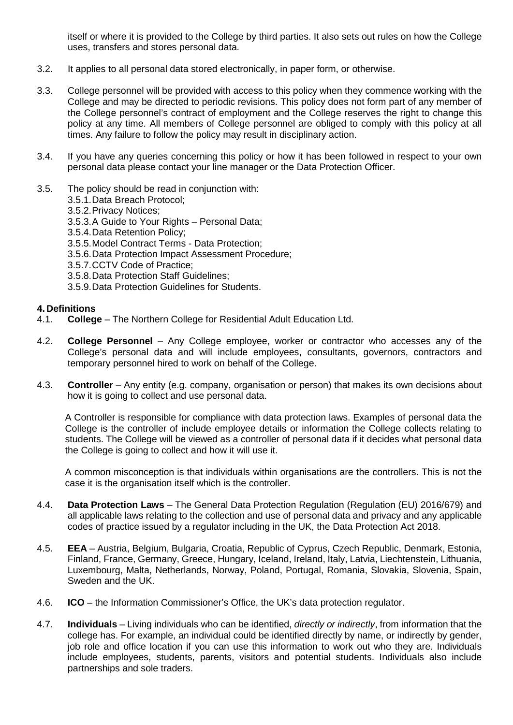itself or where it is provided to the College by third parties. It also sets out rules on how the College uses, transfers and stores personal data.

- 3.2. It applies to all personal data stored electronically, in paper form, or otherwise.
- 3.3. College personnel will be provided with access to this policy when they commence working with the College and may be directed to periodic revisions. This policy does not form part of any member of the College personnel's contract of employment and the College reserves the right to change this policy at any time. All members of College personnel are obliged to comply with this policy at all times. Any failure to follow the policy may result in disciplinary action.
- 3.4. If you have any queries concerning this policy or how it has been followed in respect to your own personal data please contact your line manager or the Data Protection Officer.
- 3.5. The policy should be read in conjunction with:
	- 3.5.1.Data Breach Protocol;
	- 3.5.2.Privacy Notices;
	- 3.5.3.A Guide to Your Rights Personal Data;
	- 3.5.4.Data Retention Policy;
	- 3.5.5.Model Contract Terms Data Protection;
	- 3.5.6.Data Protection Impact Assessment Procedure;
	- 3.5.7.CCTV Code of Practice;
	- 3.5.8.Data Protection Staff Guidelines;
	- 3.5.9.Data Protection Guidelines for Students.

### **4. Definitions**

- 4.1. **College** The Northern College for Residential Adult Education Ltd.
- 4.2. **College Personnel** Any College employee, worker or contractor who accesses any of the College's personal data and will include employees, consultants, governors, contractors and temporary personnel hired to work on behalf of the College.
- 4.3. **Controller** Any entity (e.g. company, organisation or person) that makes its own decisions about how it is going to collect and use personal data.

A Controller is responsible for compliance with data protection laws. Examples of personal data the College is the controller of include employee details or information the College collects relating to students. The College will be viewed as a controller of personal data if it decides what personal data the College is going to collect and how it will use it.

A common misconception is that individuals within organisations are the controllers. This is not the case it is the organisation itself which is the controller.

- 4.4. **Data Protection Laws** The General Data Protection Regulation (Regulation (EU) 2016/679) and all applicable laws relating to the collection and use of personal data and privacy and any applicable codes of practice issued by a regulator including in the UK, the Data Protection Act 2018.
- 4.5. **EEA** Austria, Belgium, Bulgaria, Croatia, Republic of Cyprus, Czech Republic, Denmark, Estonia, Finland, France, Germany, Greece, Hungary, Iceland, Ireland, Italy, Latvia, Liechtenstein, Lithuania, Luxembourg, Malta, Netherlands, Norway, Poland, Portugal, Romania, Slovakia, Slovenia, Spain, Sweden and the UK.
- 4.6. **ICO** the Information Commissioner's Office, the UK's data protection regulator.
- 4.7. **Individuals** Living individuals who can be identified, *directly or indirectly*, from information that the college has. For example, an individual could be identified directly by name, or indirectly by gender, job role and office location if you can use this information to work out who they are. Individuals include employees, students, parents, visitors and potential students. Individuals also include partnerships and sole traders.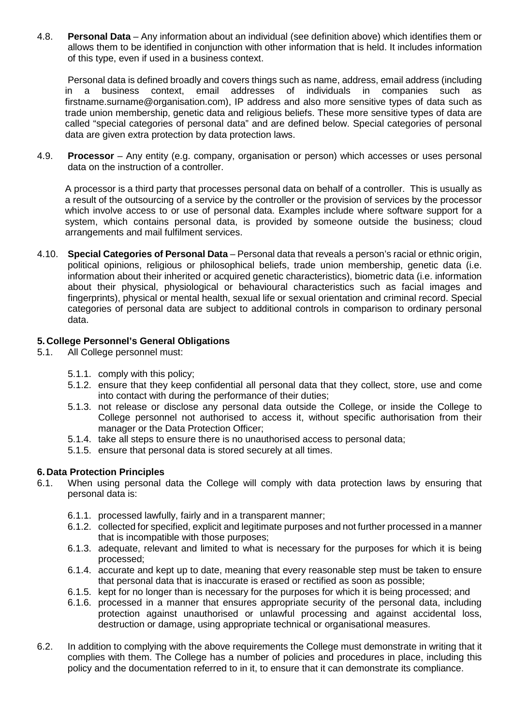4.8. **Personal Data** – Any information about an individual (see definition above) which identifies them or allows them to be identified in conjunction with other information that is held. It includes information of this type, even if used in a business context.

Personal data is defined broadly and covers things such as name, address, email address (including in a business context, email addresses of individuals in companies such as firstname.surname@organisation.com), IP address and also more sensitive types of data such as trade union membership, genetic data and religious beliefs. These more sensitive types of data are called "special categories of personal data" and are defined below. Special categories of personal data are given extra protection by data protection laws.

4.9. **Processor** – Any entity (e.g. company, organisation or person) which accesses or uses personal data on the instruction of a controller.

A processor is a third party that processes personal data on behalf of a controller. This is usually as a result of the outsourcing of a service by the controller or the provision of services by the processor which involve access to or use of personal data. Examples include where software support for a system, which contains personal data, is provided by someone outside the business; cloud arrangements and mail fulfilment services.

4.10. **Special Categories of Personal Data** – Personal data that reveals a person's racial or ethnic origin, political opinions, religious or philosophical beliefs, trade union membership, genetic data (i.e. information about their inherited or acquired genetic characteristics), biometric data (i.e. information about their physical, physiological or behavioural characteristics such as facial images and fingerprints), physical or mental health, sexual life or sexual orientation and criminal record. Special categories of personal data are subject to additional controls in comparison to ordinary personal data.

## **5. College Personnel's General Obligations**

- 5.1. All College personnel must:
	- 5.1.1. comply with this policy;
	- 5.1.2. ensure that they keep confidential all personal data that they collect, store, use and come into contact with during the performance of their duties;
	- 5.1.3. not release or disclose any personal data outside the College, or inside the College to College personnel not authorised to access it, without specific authorisation from their manager or the Data Protection Officer;
	- 5.1.4. take all steps to ensure there is no unauthorised access to personal data;
	- 5.1.5. ensure that personal data is stored securely at all times.

### **6. Data Protection Principles**

- 6.1. When using personal data the College will comply with data protection laws by ensuring that personal data is:
	- 6.1.1. processed lawfully, fairly and in a transparent manner;
	- 6.1.2. collected for specified, explicit and legitimate purposes and not further processed in a manner that is incompatible with those purposes;
	- 6.1.3. adequate, relevant and limited to what is necessary for the purposes for which it is being processed;
	- 6.1.4. accurate and kept up to date, meaning that every reasonable step must be taken to ensure that personal data that is inaccurate is erased or rectified as soon as possible;
	- 6.1.5. kept for no longer than is necessary for the purposes for which it is being processed; and
	- 6.1.6. processed in a manner that ensures appropriate security of the personal data, including protection against unauthorised or unlawful processing and against accidental loss, destruction or damage, using appropriate technical or organisational measures.
- 6.2. In addition to complying with the above requirements the College must demonstrate in writing that it complies with them. The College has a number of policies and procedures in place, including this policy and the documentation referred to in it, to ensure that it can demonstrate its compliance.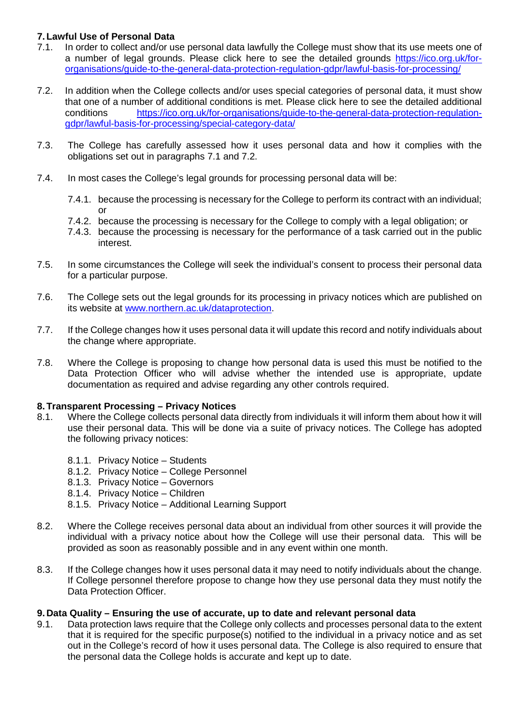# **7. Lawful Use of Personal Data**

- <span id="page-3-0"></span>7.1. In order to collect and/or use personal data lawfully the College must show that its use meets one of a number of legal grounds. Please click here to see the detailed grounds [https://ico.org.uk/for](https://ico.org.uk/for-organisations/guide-to-the-general-data-protection-regulation-gdpr/lawful-basis-for-processing/)[organisations/guide-to-the-general-data-protection-regulation-gdpr/lawful-basis-for-processing/](https://ico.org.uk/for-organisations/guide-to-the-general-data-protection-regulation-gdpr/lawful-basis-for-processing/)
- <span id="page-3-1"></span>7.2. In addition when the College collects and/or uses special categories of personal data, it must show that one of a number of additional conditions is met. Please click here to see the detailed additional conditions [https://ico.org.uk/for-organisations/guide-to-the-general-data-protection-regulation](https://ico.org.uk/for-organisations/guide-to-the-general-data-protection-regulation-gdpr/lawful-basis-for-processing/special-category-data/)[gdpr/lawful-basis-for-processing/special-category-data/](https://ico.org.uk/for-organisations/guide-to-the-general-data-protection-regulation-gdpr/lawful-basis-for-processing/special-category-data/)
- 7.3. The College has carefully assessed how it uses personal data and how it complies with the obligations set out in paragraphs [7.1](#page-3-0) and [7.2.](#page-3-1)
- 7.4. In most cases the College's legal grounds for processing personal data will be:
	- 7.4.1. because the processing is necessary for the College to perform its contract with an individual; or
	- 7.4.2. because the processing is necessary for the College to comply with a legal obligation; or
	- 7.4.3. because the processing is necessary for the performance of a task carried out in the public interest.
- 7.5. In some circumstances the College will seek the individual's consent to process their personal data for a particular purpose.
- 7.6. The College sets out the legal grounds for its processing in privacy notices which are published on its website at [www.northern.ac.uk/dataprotection.](http://www.northern.ac.uk/dataprotection)
- 7.7. If the College changes how it uses personal data it will update this record and notify individuals about the change where appropriate.
- 7.8. Where the College is proposing to change how personal data is used this must be notified to the Data Protection Officer who will advise whether the intended use is appropriate, update documentation as required and advise regarding any other controls required.

# **8. Transparent Processing – Privacy Notices**

- 8.1. Where the College collects personal data directly from individuals it will inform them about how it will use their personal data. This will be done via a suite of privacy notices. The College has adopted the following privacy notices:
	- 8.1.1. Privacy Notice Students
	- 8.1.2. Privacy Notice College Personnel
	- 8.1.3. Privacy Notice Governors
	- 8.1.4. Privacy Notice Children
	- 8.1.5. Privacy Notice Additional Learning Support
- 8.2. Where the College receives personal data about an individual from other sources it will provide the individual with a privacy notice about how the College will use their personal data. This will be provided as soon as reasonably possible and in any event within one month.
- 8.3. If the College changes how it uses personal data it may need to notify individuals about the change. If College personnel therefore propose to change how they use personal data they must notify the Data Protection Officer.

## **9. Data Quality – Ensuring the use of accurate, up to date and relevant personal data**

9.1. Data protection laws require that the College only collects and processes personal data to the extent that it is required for the specific purpose(s) notified to the individual in a privacy notice and as set out in the College's record of how it uses personal data. The College is also required to ensure that the personal data the College holds is accurate and kept up to date.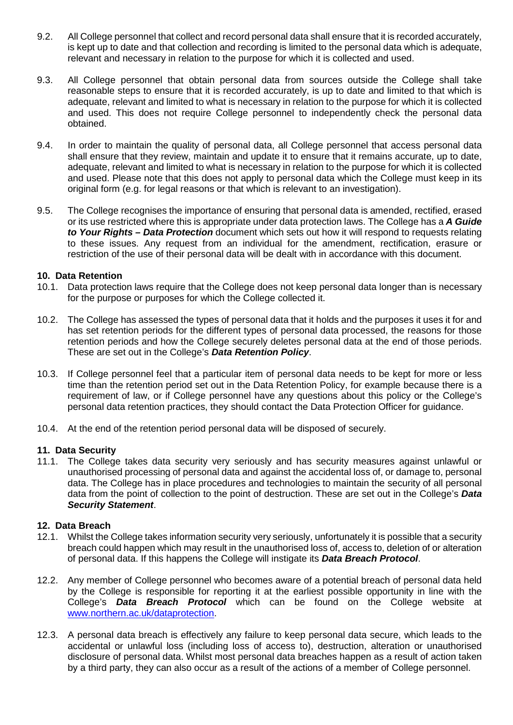- 9.2. All College personnel that collect and record personal data shall ensure that it is recorded accurately, is kept up to date and that collection and recording is limited to the personal data which is adequate, relevant and necessary in relation to the purpose for which it is collected and used.
- 9.3. All College personnel that obtain personal data from sources outside the College shall take reasonable steps to ensure that it is recorded accurately, is up to date and limited to that which is adequate, relevant and limited to what is necessary in relation to the purpose for which it is collected and used. This does not require College personnel to independently check the personal data obtained.
- 9.4. In order to maintain the quality of personal data, all College personnel that access personal data shall ensure that they review, maintain and update it to ensure that it remains accurate, up to date, adequate, relevant and limited to what is necessary in relation to the purpose for which it is collected and used. Please note that this does not apply to personal data which the College must keep in its original form (e.g. for legal reasons or that which is relevant to an investigation).
- 9.5. The College recognises the importance of ensuring that personal data is amended, rectified, erased or its use restricted where this is appropriate under data protection laws. The College has a *A Guide to Your Rights – Data Protection* document which sets out how it will respond to requests relating to these issues. Any request from an individual for the amendment, rectification, erasure or restriction of the use of their personal data will be dealt with in accordance with this document.

### **10. Data Retention**

- 10.1. Data protection laws require that the College does not keep personal data longer than is necessary for the purpose or purposes for which the College collected it.
- 10.2. The College has assessed the types of personal data that it holds and the purposes it uses it for and has set retention periods for the different types of personal data processed, the reasons for those retention periods and how the College securely deletes personal data at the end of those periods. These are set out in the College's *Data Retention Policy*.
- 10.3. If College personnel feel that a particular item of personal data needs to be kept for more or less time than the retention period set out in the Data Retention Policy, for example because there is a requirement of law, or if College personnel have any questions about this policy or the College's personal data retention practices, they should contact the Data Protection Officer for guidance.
- 10.4. At the end of the retention period personal data will be disposed of securely.

### **11. Data Security**

11.1. The College takes data security very seriously and has security measures against unlawful or unauthorised processing of personal data and against the accidental loss of, or damage to, personal data. The College has in place procedures and technologies to maintain the security of all personal data from the point of collection to the point of destruction. These are set out in the College's *Data Security Statement*.

### **12. Data Breach**

- 12.1. Whilst the College takes information security very seriously, unfortunately it is possible that a security breach could happen which may result in the unauthorised loss of, access to, deletion of or alteration of personal data. If this happens the College will instigate its *Data Breach Protocol*.
- 12.2. Any member of College personnel who becomes aware of a potential breach of personal data held by the College is responsible for reporting it at the earliest possible opportunity in line with the College's *Data Breach Protocol* which can be found on the College website at [www.northern.ac.uk/dataprotection.](http://www.northern.ac.uk/dataprotection)
- 12.3. A personal data breach is effectively any failure to keep personal data secure, which leads to the accidental or unlawful loss (including loss of access to), destruction, alteration or unauthorised disclosure of personal data. Whilst most personal data breaches happen as a result of action taken by a third party, they can also occur as a result of the actions of a member of College personnel.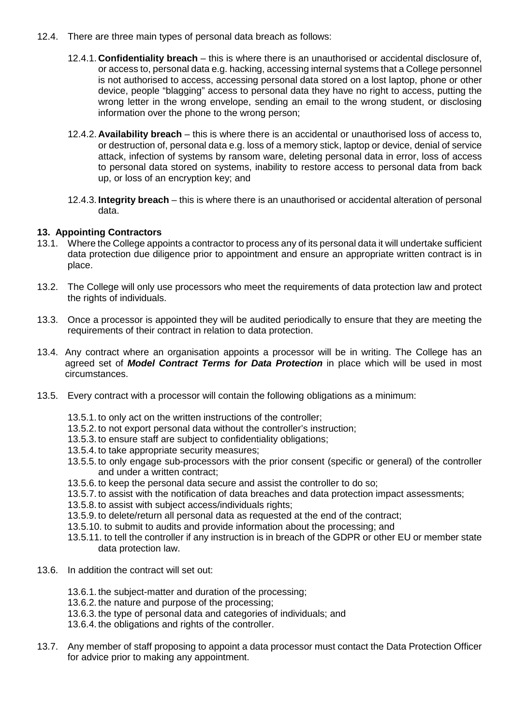- 12.4. There are three main types of personal data breach as follows:
	- 12.4.1. **Confidentiality breach** this is where there is an unauthorised or accidental disclosure of, or access to, personal data e.g. hacking, accessing internal systems that a College personnel is not authorised to access, accessing personal data stored on a lost laptop, phone or other device, people "blagging" access to personal data they have no right to access, putting the wrong letter in the wrong envelope, sending an email to the wrong student, or disclosing information over the phone to the wrong person;
	- 12.4.2. **Availability breach** this is where there is an accidental or unauthorised loss of access to, or destruction of, personal data e.g. loss of a memory stick, laptop or device, denial of service attack, infection of systems by ransom ware, deleting personal data in error, loss of access to personal data stored on systems, inability to restore access to personal data from back up, or loss of an encryption key; and
	- 12.4.3. **Integrity breach** this is where there is an unauthorised or accidental alteration of personal data.

# **13. Appointing Contractors**

- 13.1. Where the College appoints a contractor to process any of its personal data it will undertake sufficient data protection due diligence prior to appointment and ensure an appropriate written contract is in place.
- 13.2. The College will only use processors who meet the requirements of data protection law and protect the rights of individuals.
- 13.3. Once a processor is appointed they will be audited periodically to ensure that they are meeting the requirements of their contract in relation to data protection.
- 13.4. Any contract where an organisation appoints a processor will be in writing. The College has an agreed set of *Model Contract Terms for Data Protection* in place which will be used in most circumstances.
- 13.5. Every contract with a processor will contain the following obligations as a minimum:
	- 13.5.1. to only act on the written instructions of the controller;
	- 13.5.2. to not export personal data without the controller's instruction;
	- 13.5.3. to ensure staff are subject to confidentiality obligations;
	- 13.5.4. to take appropriate security measures;
	- 13.5.5. to only engage sub-processors with the prior consent (specific or general) of the controller and under a written contract;
	- 13.5.6. to keep the personal data secure and assist the controller to do so;
	- 13.5.7. to assist with the notification of data breaches and data protection impact assessments;
	- 13.5.8. to assist with subject access/individuals rights;
	- 13.5.9. to delete/return all personal data as requested at the end of the contract;
	- 13.5.10. to submit to audits and provide information about the processing; and
	- 13.5.11. to tell the controller if any instruction is in breach of the GDPR or other EU or member state data protection law.
- 13.6. In addition the contract will set out:
	- 13.6.1. the subject-matter and duration of the processing;
	- 13.6.2. the nature and purpose of the processing;
	- 13.6.3. the type of personal data and categories of individuals; and
	- 13.6.4. the obligations and rights of the controller.
- 13.7. Any member of staff proposing to appoint a data processor must contact the Data Protection Officer for advice prior to making any appointment.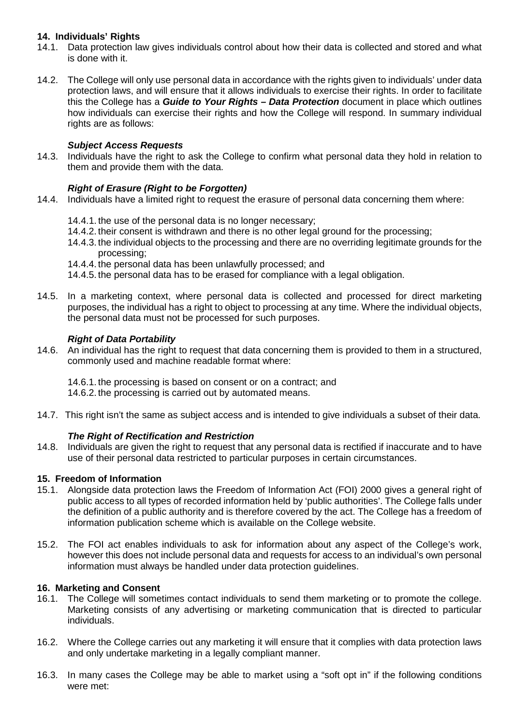# **14. Individuals' Rights**

- 14.1. Data protection law gives individuals control about how their data is collected and stored and what is done with it.
- 14.2. The College will only use personal data in accordance with the rights given to individuals' under data protection laws, and will ensure that it allows individuals to exercise their rights. In order to facilitate this the College has a *Guide to Your Rights – Data Protection* document in place which outlines how individuals can exercise their rights and how the College will respond. In summary individual rights are as follows:

## *Subject Access Requests*

14.3. Individuals have the right to ask the College to confirm what personal data they hold in relation to them and provide them with the data.

## *Right of Erasure (Right to be Forgotten)*

- 14.4. Individuals have a limited right to request the erasure of personal data concerning them where:
	- 14.4.1. the use of the personal data is no longer necessary;
	- 14.4.2. their consent is withdrawn and there is no other legal ground for the processing;
	- 14.4.3. the individual objects to the processing and there are no overriding legitimate grounds for the processing;
	- 14.4.4. the personal data has been unlawfully processed; and
	- 14.4.5. the personal data has to be erased for compliance with a legal obligation.
- 14.5. In a marketing context, where personal data is collected and processed for direct marketing purposes, the individual has a right to object to processing at any time. Where the individual objects, the personal data must not be processed for such purposes.

### *Right of Data Portability*

14.6. An individual has the right to request that data concerning them is provided to them in a structured, commonly used and machine readable format where:

14.6.1. the processing is based on consent or on a contract; and 14.6.2. the processing is carried out by automated means.

14.7. This right isn't the same as subject access and is intended to give individuals a subset of their data.

### *The Right of Rectification and Restriction*

14.8. Individuals are given the right to request that any personal data is rectified if inaccurate and to have use of their personal data restricted to particular purposes in certain circumstances.

### **15. Freedom of Information**

- 15.1. Alongside data protection laws the Freedom of Information Act (FOI) 2000 gives a general right of public access to all types of recorded information held by 'public authorities'. The College falls under the definition of a public authority and is therefore covered by the act. The College has a freedom of information publication scheme which is available on the College website.
- 15.2. The FOI act enables individuals to ask for information about any aspect of the College's work, however this does not include personal data and requests for access to an individual's own personal information must always be handled under data protection guidelines.

### **16. Marketing and Consent**

- 16.1. The College will sometimes contact individuals to send them marketing or to promote the college. Marketing consists of any advertising or marketing communication that is directed to particular individuals.
- 16.2. Where the College carries out any marketing it will ensure that it complies with data protection laws and only undertake marketing in a legally compliant manner.
- 16.3. In many cases the College may be able to market using a "soft opt in" if the following conditions were met: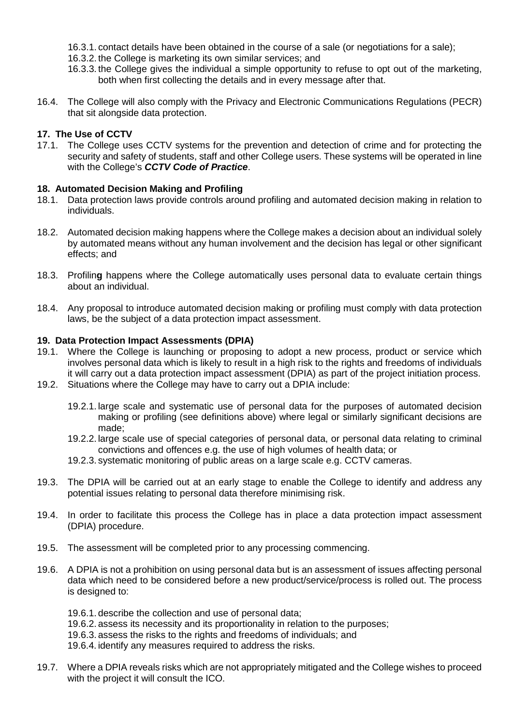- 16.3.1. contact details have been obtained in the course of a sale (or negotiations for a sale);
- 16.3.2. the College is marketing its own similar services; and
- 16.3.3. the College gives the individual a simple opportunity to refuse to opt out of the marketing, both when first collecting the details and in every message after that.
- 16.4. The College will also comply with the Privacy and Electronic Communications Regulations (PECR) that sit alongside data protection.

# **17. The Use of CCTV**

17.1. The College uses CCTV systems for the prevention and detection of crime and for protecting the security and safety of students, staff and other College users. These systems will be operated in line with the College's *CCTV Code of Practice*.

## **18. Automated Decision Making and Profiling**

- 18.1. Data protection laws provide controls around profiling and automated decision making in relation to individuals.
- 18.2. Automated decision making happens where the College makes a decision about an individual solely by automated means without any human involvement and the decision has legal or other significant effects; and
- 18.3. Profilin**g** happens where the College automatically uses personal data to evaluate certain things about an individual.
- 18.4. Any proposal to introduce automated decision making or profiling must comply with data protection laws, be the subject of a data protection impact assessment.

## **19. Data Protection Impact Assessments (DPIA)**

- 19.1. Where the College is launching or proposing to adopt a new process, product or service which involves personal data which is likely to result in a high risk to the rights and freedoms of individuals it will carry out a data protection impact assessment (DPIA) as part of the project initiation process.
- 19.2. Situations where the College may have to carry out a DPIA include:
	- 19.2.1. large scale and systematic use of personal data for the purposes of automated decision making or profiling (see definitions above) where legal or similarly significant decisions are made;
	- 19.2.2. large scale use of special categories of personal data, or personal data relating to criminal convictions and offences e.g. the use of high volumes of health data; or
	- 19.2.3. systematic monitoring of public areas on a large scale e.g. CCTV cameras.
- 19.3. The DPIA will be carried out at an early stage to enable the College to identify and address any potential issues relating to personal data therefore minimising risk.
- 19.4. In order to facilitate this process the College has in place a data protection impact assessment (DPIA) procedure.
- 19.5. The assessment will be completed prior to any processing commencing.
- 19.6. A DPIA is not a prohibition on using personal data but is an assessment of issues affecting personal data which need to be considered before a new product/service/process is rolled out. The process is designed to:

19.6.1. describe the collection and use of personal data;

- 19.6.2. assess its necessity and its proportionality in relation to the purposes;
- 19.6.3. assess the risks to the rights and freedoms of individuals; and
- 19.6.4. identify any measures required to address the risks.
- 19.7. Where a DPIA reveals risks which are not appropriately mitigated and the College wishes to proceed with the project it will consult the ICO.